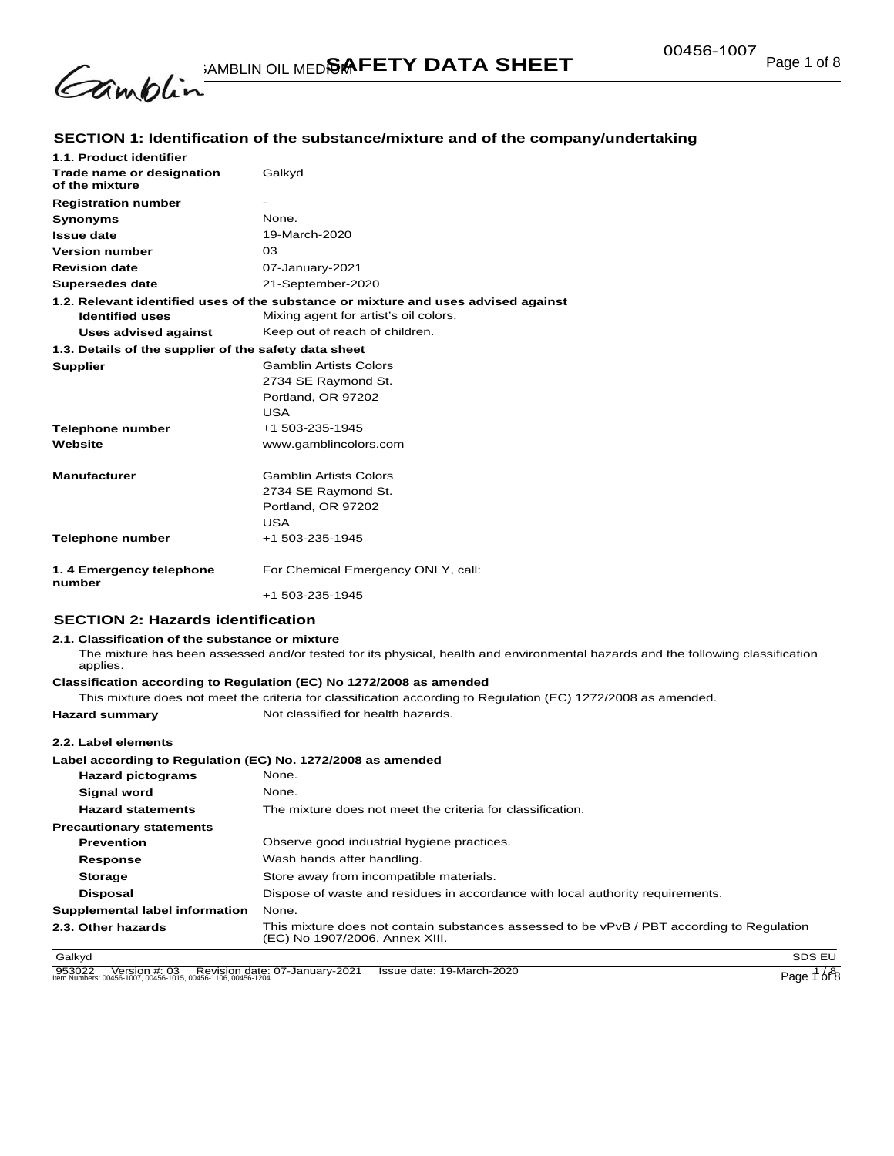

00456-1007

## **SECTION 1: Identification of the substance/mixture and of the company/undertaking**

| 1.1. Product identifier                               |                                                                                    |
|-------------------------------------------------------|------------------------------------------------------------------------------------|
| Trade name or designation<br>of the mixture           | Galkyd                                                                             |
| <b>Registration number</b>                            | $\overline{\phantom{a}}$                                                           |
| <b>Synonyms</b>                                       | None.                                                                              |
| <b>Issue date</b>                                     | 19-March-2020                                                                      |
| <b>Version number</b>                                 | 03                                                                                 |
| <b>Revision date</b>                                  | 07-January-2021                                                                    |
| <b>Supersedes date</b>                                | 21-September-2020                                                                  |
|                                                       | 1.2. Relevant identified uses of the substance or mixture and uses advised against |
| <b>Identified uses</b>                                | Mixing agent for artist's oil colors.                                              |
| Uses advised against                                  | Keep out of reach of children.                                                     |
| 1.3. Details of the supplier of the safety data sheet |                                                                                    |
| <b>Supplier</b>                                       | <b>Gamblin Artists Colors</b>                                                      |
|                                                       | 2734 SE Raymond St.                                                                |
|                                                       | Portland, OR 97202                                                                 |
|                                                       | <b>USA</b>                                                                         |
| <b>Telephone number</b>                               | +1 503-235-1945                                                                    |
| Website                                               | www.gamblincolors.com                                                              |
| <b>Manufacturer</b>                                   | <b>Gamblin Artists Colors</b>                                                      |
|                                                       | 2734 SE Raymond St.                                                                |
|                                                       | Portland, OR 97202                                                                 |
|                                                       | USA                                                                                |
| <b>Telephone number</b>                               | +1 503-235-1945                                                                    |
|                                                       |                                                                                    |
| 1. 4 Emergency telephone<br>number                    | For Chemical Emergency ONLY, call:                                                 |
|                                                       | +1 503-235-1945                                                                    |
|                                                       |                                                                                    |

#### **SECTION 2: Hazards identification**

#### **2.1. Classification of the substance or mixture**

The mixture has been assessed and/or tested for its physical, health and environmental hazards and the following classification applies.

#### **Classification according to Regulation (EC) No 1272/2008 as amended**

This mixture does not meet the criteria for classification according to Regulation (EC) 1272/2008 as amended.

## Hazard summary **Not classified for health hazards.**

#### **2.2. Label elements**

## **Label according to Regulation (EC) No. 1272/2008 as amended**

| <b>Hazard pictograms</b>        | None.                                                                                                                        |
|---------------------------------|------------------------------------------------------------------------------------------------------------------------------|
| <b>Signal word</b>              | None.                                                                                                                        |
| <b>Hazard statements</b>        | The mixture does not meet the criteria for classification.                                                                   |
| <b>Precautionary statements</b> |                                                                                                                              |
| <b>Prevention</b>               | Observe good industrial hygiene practices.                                                                                   |
| Response                        | Wash hands after handling.                                                                                                   |
| <b>Storage</b>                  | Store away from incompatible materials.                                                                                      |
| <b>Disposal</b>                 | Dispose of waste and residues in accordance with local authority requirements.                                               |
| Supplemental label information  | None.                                                                                                                        |
| 2.3. Other hazards              | This mixture does not contain substances assessed to be vPvB / PBT according to Regulation<br>(EC) No 1907/2006, Annex XIII. |
| Galkyd                          | <b>SDS EU</b>                                                                                                                |

953022 Version #: 03 Revision date: 07-January-2021 Issue date: 19-March-2020<br>Item Numbers: 00456-1007, 00456-1015, 00456-1106, 00456-1204 Page 1 of 8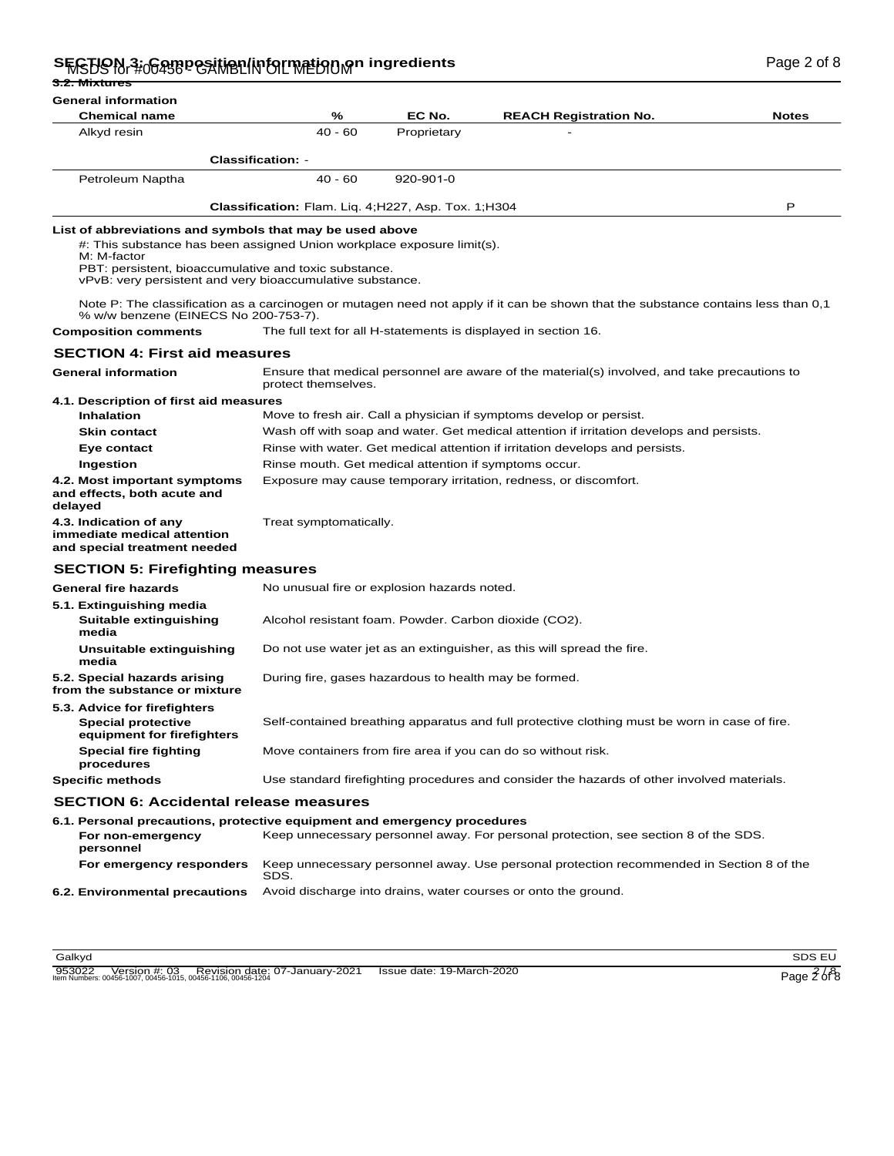# SFGHON 3: OGARPOSITION IN CLINE ON INGLES IN THE TERM OF THE COMPOSITION OF BAGE 2 of 8

| 3.2. Mixtures                                                                                                                                                                                                                                                           |                                                                                                                           |                                                                                          |                                                                                                                                   |              |
|-------------------------------------------------------------------------------------------------------------------------------------------------------------------------------------------------------------------------------------------------------------------------|---------------------------------------------------------------------------------------------------------------------------|------------------------------------------------------------------------------------------|-----------------------------------------------------------------------------------------------------------------------------------|--------------|
| <b>General information</b>                                                                                                                                                                                                                                              |                                                                                                                           |                                                                                          |                                                                                                                                   |              |
| <b>Chemical name</b>                                                                                                                                                                                                                                                    | %                                                                                                                         | EC No.                                                                                   | <b>REACH Registration No.</b>                                                                                                     | <b>Notes</b> |
| Alkyd resin                                                                                                                                                                                                                                                             | $40 - 60$                                                                                                                 | Proprietary                                                                              |                                                                                                                                   |              |
|                                                                                                                                                                                                                                                                         | <b>Classification: -</b>                                                                                                  |                                                                                          |                                                                                                                                   |              |
| Petroleum Naptha                                                                                                                                                                                                                                                        | $40 - 60$                                                                                                                 | 920-901-0                                                                                |                                                                                                                                   |              |
|                                                                                                                                                                                                                                                                         |                                                                                                                           |                                                                                          |                                                                                                                                   |              |
|                                                                                                                                                                                                                                                                         | Classification: Flam. Liq. 4;H227, Asp. Tox. 1;H304                                                                       |                                                                                          |                                                                                                                                   | P            |
| List of abbreviations and symbols that may be used above<br>#: This substance has been assigned Union workplace exposure limit(s).<br>M: M-factor<br>PBT: persistent, bioaccumulative and toxic substance.<br>vPvB: very persistent and very bioaccumulative substance. |                                                                                                                           |                                                                                          |                                                                                                                                   |              |
| % w/w benzene (EINECS No 200-753-7).                                                                                                                                                                                                                                    |                                                                                                                           |                                                                                          | Note P: The classification as a carcinogen or mutagen need not apply if it can be shown that the substance contains less than 0,1 |              |
| <b>Composition comments</b>                                                                                                                                                                                                                                             |                                                                                                                           |                                                                                          | The full text for all H-statements is displayed in section 16.                                                                    |              |
| <b>SECTION 4: First aid measures</b>                                                                                                                                                                                                                                    |                                                                                                                           |                                                                                          |                                                                                                                                   |              |
| <b>General information</b>                                                                                                                                                                                                                                              | protect themselves.                                                                                                       |                                                                                          | Ensure that medical personnel are aware of the material(s) involved, and take precautions to                                      |              |
| 4.1. Description of first aid measures                                                                                                                                                                                                                                  |                                                                                                                           |                                                                                          |                                                                                                                                   |              |
| <b>Inhalation</b>                                                                                                                                                                                                                                                       |                                                                                                                           |                                                                                          | Move to fresh air. Call a physician if symptoms develop or persist.                                                               |              |
| <b>Skin contact</b>                                                                                                                                                                                                                                                     |                                                                                                                           | Wash off with soap and water. Get medical attention if irritation develops and persists. |                                                                                                                                   |              |
| Eye contact                                                                                                                                                                                                                                                             | Rinse with water. Get medical attention if irritation develops and persists.                                              |                                                                                          |                                                                                                                                   |              |
| Ingestion                                                                                                                                                                                                                                                               | Rinse mouth. Get medical attention if symptoms occur.<br>Exposure may cause temporary irritation, redness, or discomfort. |                                                                                          |                                                                                                                                   |              |
| 4.2. Most important symptoms<br>and effects, both acute and<br>delayed                                                                                                                                                                                                  |                                                                                                                           |                                                                                          |                                                                                                                                   |              |
| 4.3. Indication of any<br>immediate medical attention<br>and special treatment needed                                                                                                                                                                                   | Treat symptomatically.                                                                                                    |                                                                                          |                                                                                                                                   |              |
| <b>SECTION 5: Firefighting measures</b>                                                                                                                                                                                                                                 |                                                                                                                           |                                                                                          |                                                                                                                                   |              |
| <b>General fire hazards</b>                                                                                                                                                                                                                                             | No unusual fire or explosion hazards noted.                                                                               |                                                                                          |                                                                                                                                   |              |
| 5.1. Extinguishing media<br>Suitable extinguishing<br>media                                                                                                                                                                                                             | Alcohol resistant foam. Powder. Carbon dioxide (CO2).                                                                     |                                                                                          |                                                                                                                                   |              |
| Unsuitable extinguishing<br>media                                                                                                                                                                                                                                       | Do not use water jet as an extinguisher, as this will spread the fire.                                                    |                                                                                          |                                                                                                                                   |              |
| 5.2. Special hazards arising<br>from the substance or mixture                                                                                                                                                                                                           | During fire, gases hazardous to health may be formed.                                                                     |                                                                                          |                                                                                                                                   |              |
| 5.3. Advice for firefighters<br><b>Special protective</b><br>equipment for firefighters                                                                                                                                                                                 | Self-contained breathing apparatus and full protective clothing must be worn in case of fire.                             |                                                                                          |                                                                                                                                   |              |
| Special fire fighting<br>procedures                                                                                                                                                                                                                                     | Move containers from fire area if you can do so without risk.                                                             |                                                                                          |                                                                                                                                   |              |
| <b>Specific methods</b>                                                                                                                                                                                                                                                 |                                                                                                                           |                                                                                          | Use standard firefighting procedures and consider the hazards of other involved materials.                                        |              |
| <b>SECTION 6: Accidental release measures</b>                                                                                                                                                                                                                           |                                                                                                                           |                                                                                          |                                                                                                                                   |              |
| 6.1. Personal precautions, protective equipment and emergency procedures                                                                                                                                                                                                |                                                                                                                           |                                                                                          |                                                                                                                                   |              |
| For non-emergency<br>personnel                                                                                                                                                                                                                                          |                                                                                                                           |                                                                                          | Keep unnecessary personnel away. For personal protection, see section 8 of the SDS.                                               |              |
| For emergency responders                                                                                                                                                                                                                                                | SDS.                                                                                                                      |                                                                                          | Keep unnecessary personnel away. Use personal protection recommended in Section 8 of the                                          |              |
| 6.2. Environmental precautions                                                                                                                                                                                                                                          |                                                                                                                           |                                                                                          | Avoid discharge into drains, water courses or onto the ground.                                                                    |              |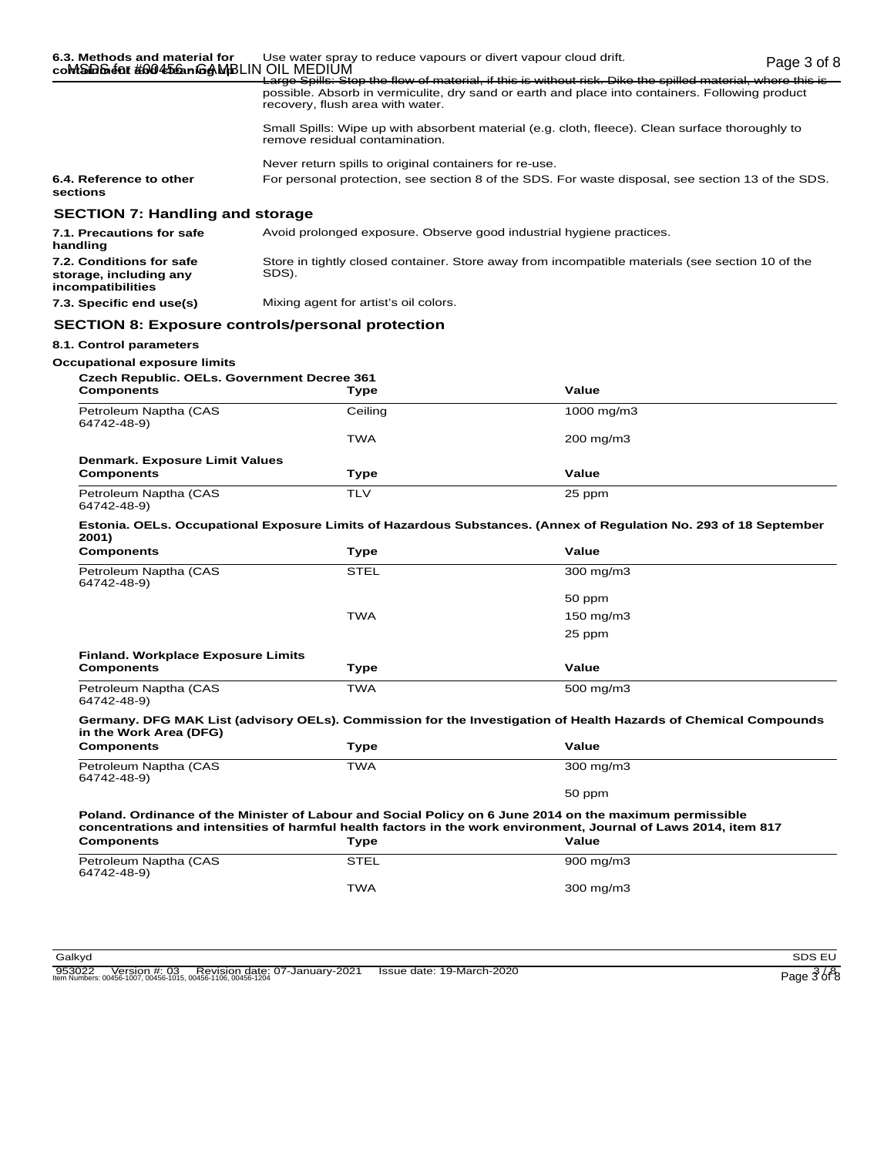| 6.3. Methods and material for<br>coMSiD&é0f#0045eanGAMBLIN OIL MEDIUM   | Use water spray to reduce vapours or divert vapour cloud drift.                                                                 |                                                                                                                                                                                                               | Page 3 of 8 |  |
|-------------------------------------------------------------------------|---------------------------------------------------------------------------------------------------------------------------------|---------------------------------------------------------------------------------------------------------------------------------------------------------------------------------------------------------------|-------------|--|
|                                                                         | recovery, flush area with water.                                                                                                | Large Spills: Stop the flow of material, if this is without risk. Dike the spilled material, where this is<br>possible. Absorb in vermiculite, dry sand or earth and place into containers. Following product |             |  |
|                                                                         | remove residual contamination.                                                                                                  | Small Spills: Wipe up with absorbent material (e.g. cloth, fleece). Clean surface thoroughly to                                                                                                               |             |  |
|                                                                         | Never return spills to original containers for re-use.                                                                          |                                                                                                                                                                                                               |             |  |
| 6.4. Reference to other<br>sections                                     |                                                                                                                                 | For personal protection, see section 8 of the SDS. For waste disposal, see section 13 of the SDS.                                                                                                             |             |  |
| <b>SECTION 7: Handling and storage</b>                                  |                                                                                                                                 |                                                                                                                                                                                                               |             |  |
| 7.1. Precautions for safe<br>handling                                   |                                                                                                                                 | Avoid prolonged exposure. Observe good industrial hygiene practices.                                                                                                                                          |             |  |
| 7.2. Conditions for safe<br>storage, including any<br>incompatibilities | SDS).                                                                                                                           | Store in tightly closed container. Store away from incompatible materials (see section 10 of the                                                                                                              |             |  |
| 7.3. Specific end use(s)                                                | Mixing agent for artist's oil colors.                                                                                           |                                                                                                                                                                                                               |             |  |
|                                                                         | <b>SECTION 8: Exposure controls/personal protection</b>                                                                         |                                                                                                                                                                                                               |             |  |
| 8.1. Control parameters                                                 |                                                                                                                                 |                                                                                                                                                                                                               |             |  |
| Occupational exposure limits                                            |                                                                                                                                 |                                                                                                                                                                                                               |             |  |
| <b>Czech Republic. OELs. Government Decree 361</b>                      |                                                                                                                                 |                                                                                                                                                                                                               |             |  |
| <b>Components</b>                                                       | Type                                                                                                                            | Value                                                                                                                                                                                                         |             |  |
| Petroleum Naptha (CAS<br>64742-48-9)                                    | Ceiling                                                                                                                         | 1000 mg/m $3$                                                                                                                                                                                                 |             |  |
|                                                                         | <b>TWA</b>                                                                                                                      | 200 mg/m3                                                                                                                                                                                                     |             |  |
| Denmark. Exposure Limit Values                                          |                                                                                                                                 |                                                                                                                                                                                                               |             |  |
| <b>Components</b>                                                       | Type                                                                                                                            | Value                                                                                                                                                                                                         |             |  |
| Petroleum Naptha (CAS<br>64742-48-9)                                    | <b>TLV</b>                                                                                                                      | 25 ppm                                                                                                                                                                                                        |             |  |
|                                                                         | Estonia. OELs. Occupational Exposure Limits of Hazardous Substances. (Annex of Regulation No. 293 of 18 September               |                                                                                                                                                                                                               |             |  |
| 2001)                                                                   |                                                                                                                                 | Value                                                                                                                                                                                                         |             |  |
| <b>Components</b><br>Petroleum Naptha (CAS                              | Type<br><b>STEL</b>                                                                                                             | $300 \text{ mg/m}$                                                                                                                                                                                            |             |  |
| 64742-48-9)                                                             |                                                                                                                                 |                                                                                                                                                                                                               |             |  |
|                                                                         |                                                                                                                                 | 50 ppm                                                                                                                                                                                                        |             |  |
|                                                                         | <b>TWA</b>                                                                                                                      | 150 mg/m3                                                                                                                                                                                                     |             |  |
|                                                                         |                                                                                                                                 | 25 ppm                                                                                                                                                                                                        |             |  |
| <b>Finland. Workplace Exposure Limits</b>                               |                                                                                                                                 |                                                                                                                                                                                                               |             |  |
| <b>Components</b>                                                       | Type                                                                                                                            | Value                                                                                                                                                                                                         |             |  |
| Petroleum Naptha (CAS<br>64742-48-9)                                    | <b>TWA</b>                                                                                                                      | 500 mg/m3                                                                                                                                                                                                     |             |  |
| in the Work Area (DFG)                                                  | Germany. DFG MAK List (advisory OELs). Commission for the Investigation of Health Hazards of Chemical Compounds                 |                                                                                                                                                                                                               |             |  |
| <b>Components</b>                                                       | <b>Type</b>                                                                                                                     | Value                                                                                                                                                                                                         |             |  |
| Petroleum Naptha (CAS<br>64742-48-9)                                    | <b>TWA</b>                                                                                                                      | 300 mg/m3                                                                                                                                                                                                     |             |  |
|                                                                         |                                                                                                                                 | 50 ppm                                                                                                                                                                                                        |             |  |
|                                                                         | Poland. Ordinance of the Minister of Labour and Social Policy on 6 June 2014 on the maximum permissible                         |                                                                                                                                                                                                               |             |  |
| <b>Components</b>                                                       | concentrations and intensities of harmful health factors in the work environment, Journal of Laws 2014, item 817<br><b>Type</b> | Value                                                                                                                                                                                                         |             |  |
| Petroleum Naptha (CAS                                                   | <b>STEL</b>                                                                                                                     | 900 mg/m3                                                                                                                                                                                                     |             |  |
| 64742-48-9)                                                             | <b>TWA</b>                                                                                                                      | 300 mg/m3                                                                                                                                                                                                     |             |  |
|                                                                         |                                                                                                                                 |                                                                                                                                                                                                               |             |  |
|                                                                         |                                                                                                                                 |                                                                                                                                                                                                               |             |  |
|                                                                         |                                                                                                                                 |                                                                                                                                                                                                               |             |  |
|                                                                         |                                                                                                                                 |                                                                                                                                                                                                               |             |  |

953022 Version #: 03 Revision date: 07-January-2021 Issue date: 19-March-2020<br>Item Numbers: 00456-1007, 00456-1015, 00456-1106, 00456-1204 Page 3 of 8

Galkyd SDS EU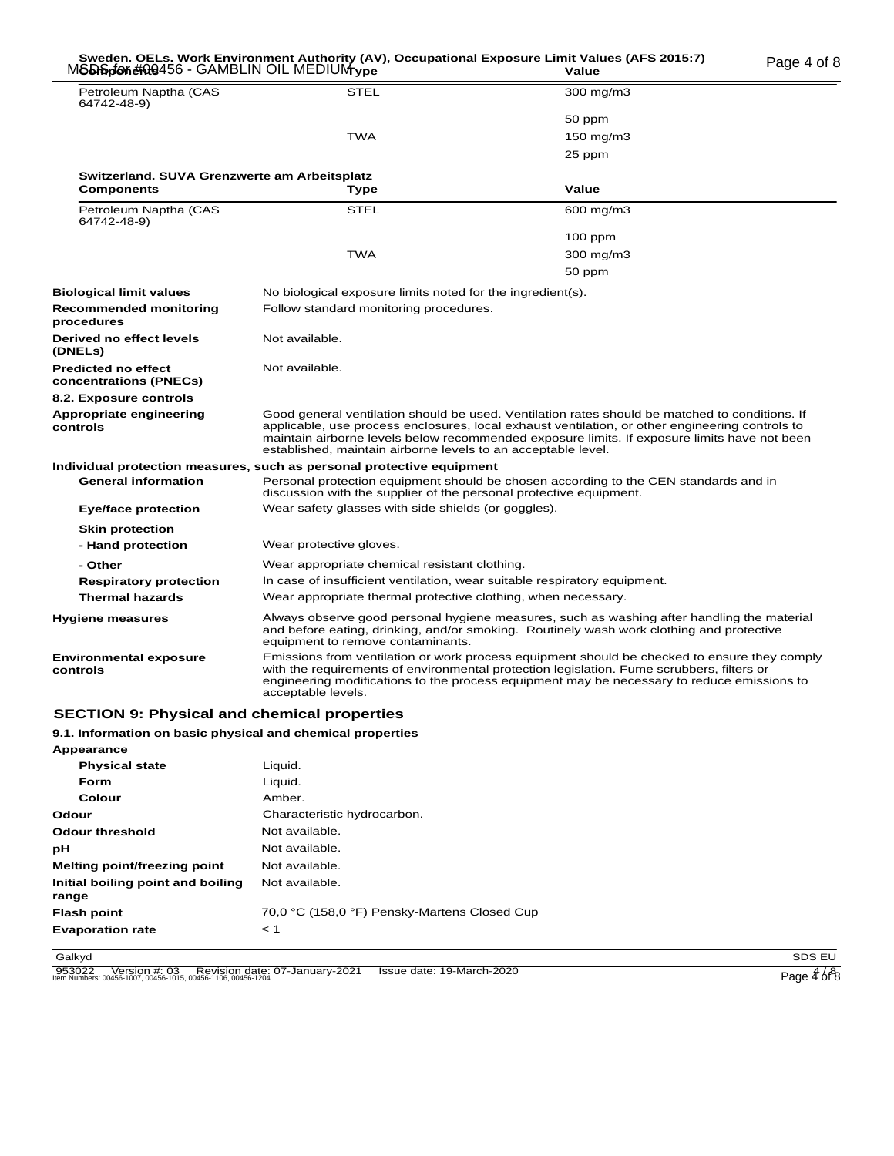#### Page 4 of 8 MSDS for #00456 - GAMBLIN OIL MEDIUM **Sweden. OELs. Work Environment Authority (AV), Occupational Exposure Limit Values (AFS 2015:7)**  $\epsilon$ **Components Type Value Value Value Value**

| Page 4 of 8 |  |  |
|-------------|--|--|
|             |  |  |

|                                                      | . .                                                                                                                                                                                                                                                                                                                                                                |              |  |
|------------------------------------------------------|--------------------------------------------------------------------------------------------------------------------------------------------------------------------------------------------------------------------------------------------------------------------------------------------------------------------------------------------------------------------|--------------|--|
| Petroleum Naptha (CAS<br>64742-48-9)                 | <b>STEL</b>                                                                                                                                                                                                                                                                                                                                                        | 300 mg/m3    |  |
|                                                      |                                                                                                                                                                                                                                                                                                                                                                    | 50 ppm       |  |
|                                                      | <b>TWA</b>                                                                                                                                                                                                                                                                                                                                                         | 150 mg/m $3$ |  |
|                                                      |                                                                                                                                                                                                                                                                                                                                                                    | 25 ppm       |  |
| Switzerland. SUVA Grenzwerte am Arbeitsplatz         |                                                                                                                                                                                                                                                                                                                                                                    |              |  |
| <b>Components</b>                                    | Type                                                                                                                                                                                                                                                                                                                                                               | Value        |  |
| Petroleum Naptha (CAS<br>64742-48-9)                 | <b>STEL</b>                                                                                                                                                                                                                                                                                                                                                        | 600 mg/m3    |  |
|                                                      |                                                                                                                                                                                                                                                                                                                                                                    | $100$ ppm    |  |
|                                                      | <b>TWA</b>                                                                                                                                                                                                                                                                                                                                                         | 300 mg/m3    |  |
|                                                      |                                                                                                                                                                                                                                                                                                                                                                    | 50 ppm       |  |
| <b>Biological limit values</b>                       | No biological exposure limits noted for the ingredient(s).                                                                                                                                                                                                                                                                                                         |              |  |
| <b>Recommended monitoring</b><br>procedures          | Follow standard monitoring procedures.                                                                                                                                                                                                                                                                                                                             |              |  |
| Derived no effect levels<br>(DNEL <sub>S</sub> )     | Not available.                                                                                                                                                                                                                                                                                                                                                     |              |  |
| <b>Predicted no effect</b><br>concentrations (PNECs) | Not available.                                                                                                                                                                                                                                                                                                                                                     |              |  |
| 8.2. Exposure controls                               |                                                                                                                                                                                                                                                                                                                                                                    |              |  |
| Appropriate engineering<br>controls                  | Good general ventilation should be used. Ventilation rates should be matched to conditions. If<br>applicable, use process enclosures, local exhaust ventilation, or other engineering controls to<br>maintain airborne levels below recommended exposure limits. If exposure limits have not been<br>established, maintain airborne levels to an acceptable level. |              |  |
|                                                      | Individual protection measures, such as personal protective equipment                                                                                                                                                                                                                                                                                              |              |  |
| <b>General information</b>                           | Personal protection equipment should be chosen according to the CEN standards and in<br>discussion with the supplier of the personal protective equipment.                                                                                                                                                                                                         |              |  |
| <b>Eye/face protection</b>                           | Wear safety glasses with side shields (or goggles).                                                                                                                                                                                                                                                                                                                |              |  |
| <b>Skin protection</b>                               |                                                                                                                                                                                                                                                                                                                                                                    |              |  |
| - Hand protection                                    | Wear protective gloves.                                                                                                                                                                                                                                                                                                                                            |              |  |
| - Other                                              | Wear appropriate chemical resistant clothing.                                                                                                                                                                                                                                                                                                                      |              |  |
| <b>Respiratory protection</b>                        | In case of insufficient ventilation, wear suitable respiratory equipment.                                                                                                                                                                                                                                                                                          |              |  |
| <b>Thermal hazards</b>                               | Wear appropriate thermal protective clothing, when necessary.                                                                                                                                                                                                                                                                                                      |              |  |
| Hygiene measures                                     | Always observe good personal hygiene measures, such as washing after handling the material<br>and before eating, drinking, and/or smoking. Routinely wash work clothing and protective<br>equipment to remove contaminants.                                                                                                                                        |              |  |
| <b>Environmental exposure</b><br>controls            | Emissions from ventilation or work process equipment should be checked to ensure they comply<br>with the requirements of environmental protection legislation. Fume scrubbers, filters or<br>engineering modifications to the process equipment may be necessary to reduce emissions to<br>acceptable levels.                                                      |              |  |

## **SECTION 9: Physical and chemical properties**

#### **9.1. Information on basic physical and chemical properties**

| Appearance                                 |                                              |
|--------------------------------------------|----------------------------------------------|
| <b>Physical state</b>                      | Liquid.                                      |
| <b>Form</b>                                | Liquid.                                      |
| Colour                                     | Amber.                                       |
| Odour                                      | Characteristic hydrocarbon.                  |
| Odour threshold                            | Not available.                               |
| рH                                         | Not available.                               |
| Melting point/freezing point               | Not available.                               |
| Initial boiling point and boiling<br>range | Not available.                               |
| <b>Flash point</b>                         | 70,0 °C (158,0 °F) Pensky-Martens Closed Cup |
| <b>Evaporation rate</b>                    | < 1                                          |

953022 Version #: 03 Revision date: 07-January-2021 Issue date: 19-March-2020<br>Item Numbers: 00456-1007, 00456-1015, 00456-1106, 00456-1204 Page 4 of 8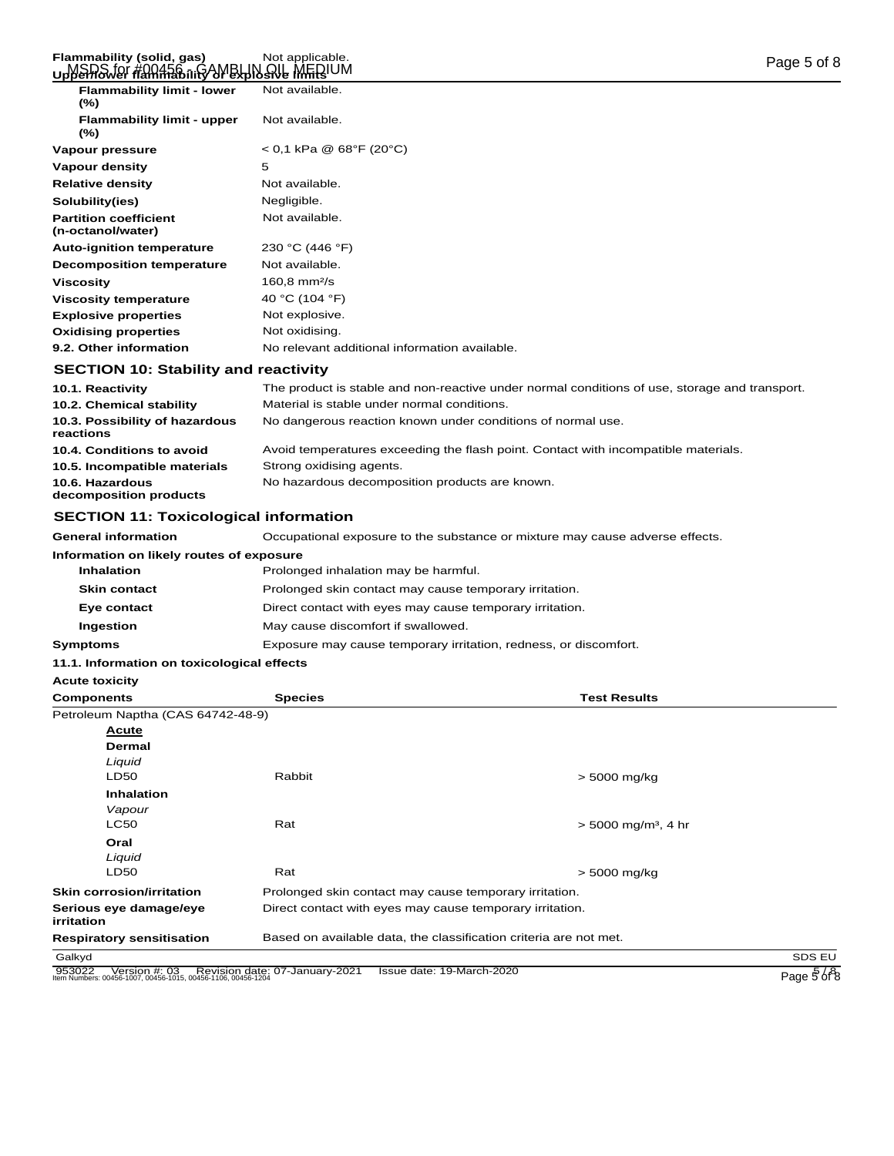#### Flammability (solid, gas) Not applicable.<br>பาฟริพิลม*์มา #มินิล์5*ดิ การ2MBLIN QIL MEDIUM **Upper/lower flammability or explosive limits**

| <b>Flammability limit - lower</b><br>$(\%)$       | Not available.                                                                               |
|---------------------------------------------------|----------------------------------------------------------------------------------------------|
| Flammability limit - upper<br>$(\%)$              | Not available.                                                                               |
| Vapour pressure                                   | $< 0.1$ kPa @ 68°F (20°C)                                                                    |
| Vapour density                                    | 5                                                                                            |
| <b>Relative density</b>                           | Not available.                                                                               |
| Solubility(ies)                                   | Negligible.                                                                                  |
| <b>Partition coefficient</b><br>(n-octanol/water) | Not available.                                                                               |
| <b>Auto-ignition temperature</b>                  | 230 °C (446 °F)                                                                              |
| Decomposition temperature                         | Not available.                                                                               |
| <b>Viscosity</b>                                  | $160.8 \text{ mm}^2/\text{s}$                                                                |
| <b>Viscosity temperature</b>                      | 40 °C (104 °F)                                                                               |
| <b>Explosive properties</b>                       | Not explosive.                                                                               |
| <b>Oxidising properties</b>                       | Not oxidising.                                                                               |
| 9.2. Other information                            | No relevant additional information available.                                                |
| <b>SECTION 10: Stability and reactivity</b>       |                                                                                              |
| <b>10.1 Reactivity</b>                            | The product is stable and non-reactive under normal conditions of use, storage and transport |

| 10.1. Reactivity                            | The product is stable and non-reactive under normal conditions of use, storage and transport. |
|---------------------------------------------|-----------------------------------------------------------------------------------------------|
| 10.2. Chemical stability                    | Material is stable under normal conditions.                                                   |
| 10.3. Possibility of hazardous<br>reactions | No dangerous reaction known under conditions of normal use.                                   |
| 10.4. Conditions to avoid                   | Avoid temperatures exceeding the flash point. Contact with incompatible materials.            |
| 10.5. Incompatible materials                | Strong oxidising agents.                                                                      |
| 10.6. Hazardous<br>decomposition products   | No hazardous decomposition products are known.                                                |

## **SECTION 11: Toxicological information**

| <b>General information</b>               | Occupational exposure to the substance or mixture may cause adverse effects. |
|------------------------------------------|------------------------------------------------------------------------------|
| Information on likely routes of exposure |                                                                              |
| <b>Inhalation</b>                        | Prolonged inhalation may be harmful.                                         |
| <b>Skin contact</b>                      | Prolonged skin contact may cause temporary irritation.                       |
| Eye contact                              | Direct contact with eyes may cause temporary irritation.                     |
| Ingestion                                | May cause discomfort if swallowed.                                           |
| <b>Symptoms</b>                          | Exposure may cause temporary irritation, redness, or discomfort.             |
|                                          |                                                                              |

## **11.1. Information on toxicological effects**

**Acute toxicity**

| <b>Components</b>                                                                       | <b>Species</b>                                                    | <b>Test Results</b>               |                  |
|-----------------------------------------------------------------------------------------|-------------------------------------------------------------------|-----------------------------------|------------------|
| Petroleum Naptha (CAS 64742-48-9)                                                       |                                                                   |                                   |                  |
| <u>Acute</u>                                                                            |                                                                   |                                   |                  |
| Dermal                                                                                  |                                                                   |                                   |                  |
| Liquid                                                                                  |                                                                   |                                   |                  |
| LD50                                                                                    | Rabbit                                                            | > 5000 mg/kg                      |                  |
| <b>Inhalation</b>                                                                       |                                                                   |                                   |                  |
| Vapour                                                                                  |                                                                   |                                   |                  |
| LC50                                                                                    | Rat                                                               | $>$ 5000 mg/m <sup>3</sup> , 4 hr |                  |
| Oral                                                                                    |                                                                   |                                   |                  |
| Liquid                                                                                  |                                                                   |                                   |                  |
| LD50                                                                                    | Rat                                                               | $> 5000$ mg/kg                    |                  |
| <b>Skin corrosion/irritation</b>                                                        | Prolonged skin contact may cause temporary irritation.            |                                   |                  |
| Serious eye damage/eye<br>irritation                                                    | Direct contact with eyes may cause temporary irritation.          |                                   |                  |
| <b>Respiratory sensitisation</b>                                                        | Based on available data, the classification criteria are not met. |                                   |                  |
| Galkyd                                                                                  |                                                                   |                                   | SDS EU           |
| 953022<br>Version #: 03<br>Item Numbers: 00456-1007, 00456-1015, 00456-1106, 00456-1204 | Issue date: 19-March-2020<br>Revision date: 07-January-2021       |                                   | Page $5\sqrt{8}$ |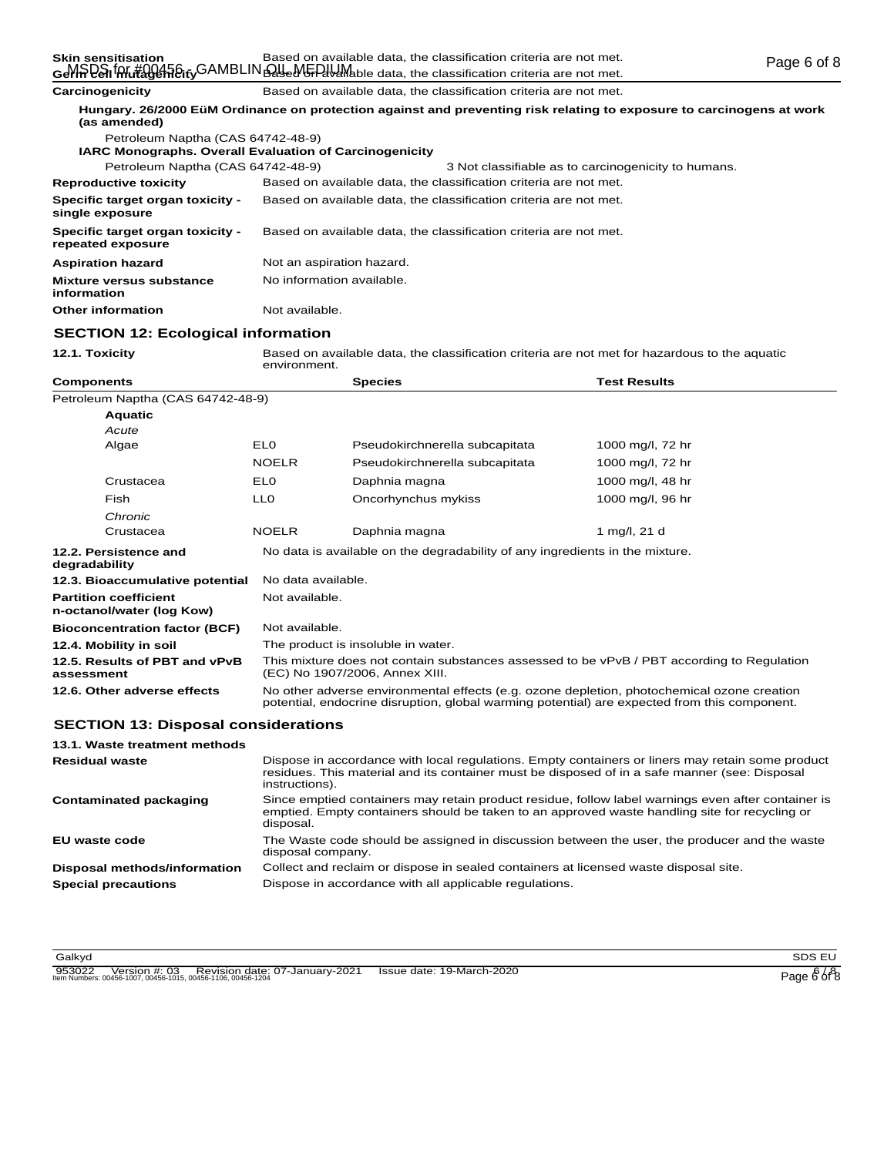| Carcinogenicity | Based on available data, the classification criteria are not met. |
|-----------------|-------------------------------------------------------------------|

| (as amended)                                                                                       |                           | Hungary, 26/2000 EüM Ordinance on protection against and preventing risk relating to exposure to carcinogens at work |
|----------------------------------------------------------------------------------------------------|---------------------------|----------------------------------------------------------------------------------------------------------------------|
| Petroleum Naptha (CAS 64742-48-9)<br><b>IARC Monographs. Overall Evaluation of Carcinogenicity</b> |                           |                                                                                                                      |
| Petroleum Naptha (CAS 64742-48-9)                                                                  |                           | 3 Not classifiable as to carcinogenicity to humans.                                                                  |
| <b>Reproductive toxicity</b>                                                                       |                           | Based on available data, the classification criteria are not met.                                                    |
| Specific target organ toxicity -<br>single exposure                                                |                           | Based on available data, the classification criteria are not met.                                                    |
| Specific target organ toxicity -<br>repeated exposure                                              |                           | Based on available data, the classification criteria are not met.                                                    |
| <b>Aspiration hazard</b>                                                                           | Not an aspiration hazard. |                                                                                                                      |
| Mixture versus substance<br>information                                                            | No information available. |                                                                                                                      |
| Other information                                                                                  | Not available.            |                                                                                                                      |

## **SECTION 12: Ecological information**

| 12.1. Toxicity                                            | Based on available data, the classification criteria are not met for hazardous to the aquatic<br>environment.                                                                              |                                                                              |                     |
|-----------------------------------------------------------|--------------------------------------------------------------------------------------------------------------------------------------------------------------------------------------------|------------------------------------------------------------------------------|---------------------|
| <b>Components</b>                                         |                                                                                                                                                                                            | <b>Species</b>                                                               | <b>Test Results</b> |
| Petroleum Naptha (CAS 64742-48-9)                         |                                                                                                                                                                                            |                                                                              |                     |
| <b>Aquatic</b>                                            |                                                                                                                                                                                            |                                                                              |                     |
| Acute                                                     |                                                                                                                                                                                            |                                                                              |                     |
| Algae                                                     | EL <sub>0</sub>                                                                                                                                                                            | Pseudokirchnerella subcapitata                                               | 1000 mg/l, 72 hr    |
|                                                           | <b>NOELR</b>                                                                                                                                                                               | Pseudokirchnerella subcapitata                                               | 1000 mg/l, 72 hr    |
| Crustacea                                                 | EL <sub>0</sub>                                                                                                                                                                            | Daphnia magna                                                                | 1000 mg/l, 48 hr    |
| Fish                                                      | LL <sub>0</sub>                                                                                                                                                                            | Oncorhynchus mykiss                                                          | 1000 mg/l, 96 hr    |
| Chronic                                                   |                                                                                                                                                                                            |                                                                              |                     |
| Crustacea                                                 | <b>NOELR</b>                                                                                                                                                                               | Daphnia magna                                                                | 1 mg/l, 21 d        |
| 12.2. Persistence and<br>degradability                    |                                                                                                                                                                                            | No data is available on the degradability of any ingredients in the mixture. |                     |
| 12.3. Bioaccumulative potential                           | No data available.                                                                                                                                                                         |                                                                              |                     |
| <b>Partition coefficient</b><br>n-octanol/water (log Kow) | Not available.                                                                                                                                                                             |                                                                              |                     |
| <b>Bioconcentration factor (BCF)</b>                      | Not available.                                                                                                                                                                             |                                                                              |                     |
| 12.4. Mobility in soil                                    | The product is insoluble in water.                                                                                                                                                         |                                                                              |                     |
| 12.5. Results of PBT and vPvB<br>assessment               | This mixture does not contain substances assessed to be vPvB / PBT according to Regulation<br>(EC) No 1907/2006, Annex XIII.                                                               |                                                                              |                     |
| 12.6. Other adverse effects                               | No other adverse environmental effects (e.g. ozone depletion, photochemical ozone creation<br>potential, endocrine disruption, global warming potential) are expected from this component. |                                                                              |                     |
| <b>SECTION 13: Disposal considerations</b>                |                                                                                                                                                                                            |                                                                              |                     |
| 13.1. Waste treatment methods                             |                                                                                                                                                                                            |                                                                              |                     |
| <b>Residual waste</b>                                     | Dispose in accordance with local regulations. Empty containers or liners may retain some product                                                                                           |                                                                              |                     |

| RESIUUAI WASLE                | Dispuse in accordance with local requisitions. Empty containers or infers may retain some product<br>residues. This material and its container must be disposed of in a safe manner (see: Disposal<br>instructions). |
|-------------------------------|----------------------------------------------------------------------------------------------------------------------------------------------------------------------------------------------------------------------|
| <b>Contaminated packaging</b> | Since emptied containers may retain product residue, follow label warnings even after container is<br>emptied. Empty containers should be taken to an approved waste handling site for recycling or<br>disposal.     |
| EU waste code                 | The Waste code should be assigned in discussion between the user, the producer and the waste<br>disposal company.                                                                                                    |
| Disposal methods/information  | Collect and reclaim or dispose in sealed containers at licensed waste disposal site.                                                                                                                                 |
| <b>Special precautions</b>    | Dispose in accordance with all applicable regulations.                                                                                                                                                               |

| ٩.<br>'' |  |
|----------|--|
|----------|--|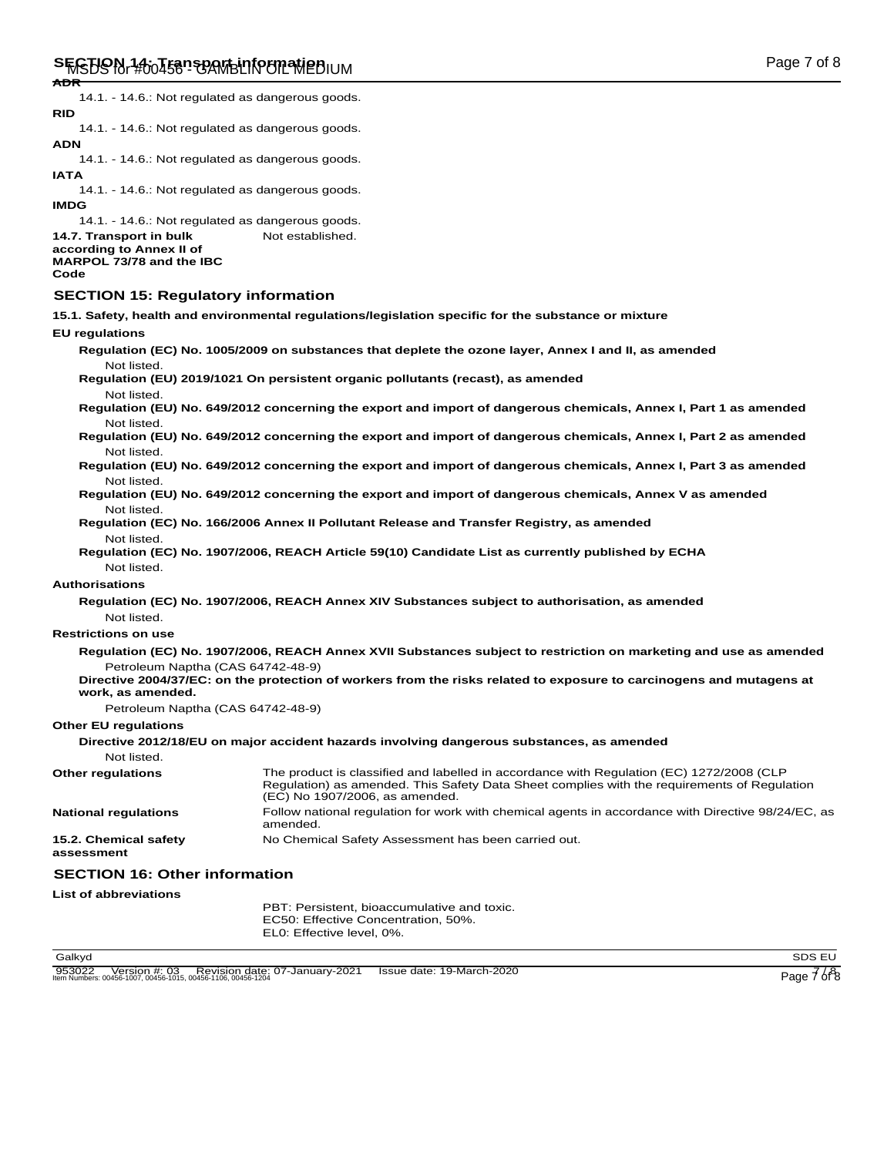14.1. - 14.6.: Not regulated as dangerous goods. **RID**

14.1. - 14.6.: Not regulated as dangerous goods. **ADN**

14.1. - 14.6.: Not regulated as dangerous goods. **IATA**

14.1. - 14.6.: Not regulated as dangerous goods. **IMDG**

14.1. - 14.6.: Not regulated as dangerous goods.

14.7. Transport in bulk Not established. **according to Annex II of MARPOL 73/78 and the IBC**

## **Code**

## **SECTION 15: Regulatory information**

**15.1. Safety, health and environmental regulations/legislation specific for the substance or mixture**

#### **EU regulations**

| Not listed.                                            | Regulation (EC) No. 1005/2009 on substances that deplete the ozone layer, Annex I and II, as amended                                                                                                                      |
|--------------------------------------------------------|---------------------------------------------------------------------------------------------------------------------------------------------------------------------------------------------------------------------------|
| Not listed.                                            | Regulation (EU) 2019/1021 On persistent organic pollutants (recast), as amended                                                                                                                                           |
|                                                        | Regulation (EU) No. 649/2012 concerning the export and import of dangerous chemicals, Annex I, Part 1 as amended                                                                                                          |
| Not listed.<br>Not listed.                             | Regulation (EU) No. 649/2012 concerning the export and import of dangerous chemicals, Annex I, Part 2 as amended                                                                                                          |
| Not listed.                                            | Regulation (EU) No. 649/2012 concerning the export and import of dangerous chemicals, Annex I, Part 3 as amended                                                                                                          |
| Not listed.                                            | Regulation (EU) No. 649/2012 concerning the export and import of dangerous chemicals, Annex V as amended                                                                                                                  |
| Not listed.                                            | Regulation (EC) No. 166/2006 Annex II Pollutant Release and Transfer Registry, as amended                                                                                                                                 |
| Not listed.                                            | Regulation (EC) No. 1907/2006, REACH Article 59(10) Candidate List as currently published by ECHA                                                                                                                         |
| <b>Authorisations</b>                                  |                                                                                                                                                                                                                           |
| Not listed.                                            | Regulation (EC) No. 1907/2006, REACH Annex XIV Substances subject to authorisation, as amended                                                                                                                            |
| <b>Restrictions on use</b>                             |                                                                                                                                                                                                                           |
|                                                        | Regulation (EC) No. 1907/2006, REACH Annex XVII Substances subject to restriction on marketing and use as amended                                                                                                         |
| Petroleum Naptha (CAS 64742-48-9)<br>work, as amended. | Directive 2004/37/EC: on the protection of workers from the risks related to exposure to carcinogens and mutagens at                                                                                                      |
| Petroleum Naptha (CAS 64742-48-9)                      |                                                                                                                                                                                                                           |
| <b>Other EU regulations</b>                            |                                                                                                                                                                                                                           |
|                                                        | Directive 2012/18/EU on major accident hazards involving dangerous substances, as amended                                                                                                                                 |
| Not listed.                                            |                                                                                                                                                                                                                           |
| <b>Other regulations</b>                               | The product is classified and labelled in accordance with Regulation (EC) 1272/2008 (CLP<br>Regulation) as amended. This Safety Data Sheet complies with the requirements of Regulation<br>(EC) No 1907/2006, as amended. |
| <b>National regulations</b>                            | Follow national regulation for work with chemical agents in accordance with Directive 98/24/EC, as<br>amended.                                                                                                            |
| 15.2. Chemical safety<br>assessment                    | No Chemical Safety Assessment has been carried out.                                                                                                                                                                       |
| <b>SECTION 16: Other information</b>                   |                                                                                                                                                                                                                           |
| List of abbreviations                                  |                                                                                                                                                                                                                           |
|                                                        | PBT: Persistent, bioaccumulative and toxic.<br>EC50: Effective Concentration, 50%.                                                                                                                                        |

EL0: Effective level, 0%.

Galkyd SDS EU